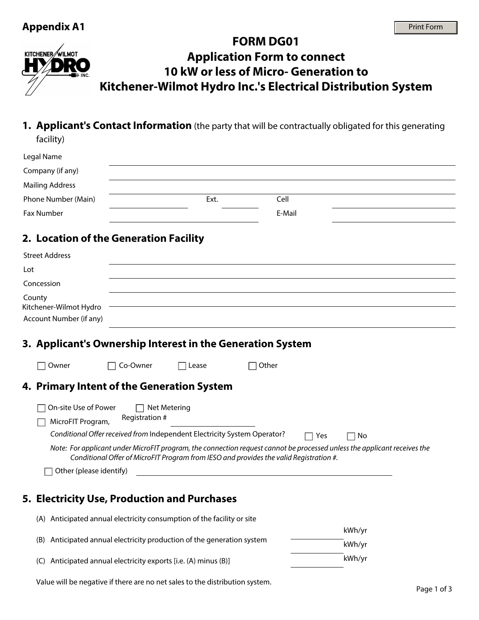#### **FORM DG01**  KITCHENER WILMOT **Application Form to connect 10 kW or less of Micro- Generation to Kitchener-Wilmot Hydro Inc.'s Electrical Distribution System**

**1. Applicant's Contact Information** (the party that will be contractually obligated for this generating facility)

| Legal Name             |      |        |  |
|------------------------|------|--------|--|
| Company (if any)       |      |        |  |
| <b>Mailing Address</b> |      |        |  |
| Phone Number (Main)    | Ext. | Cell   |  |
| Fax Number             |      | E-Mail |  |
|                        |      |        |  |

# **2. Location of the Generation Facility**

| <b>Street Address</b>                                       |                                                                                                            |       |                                                                                                                                                                                                                    |     |    |  |
|-------------------------------------------------------------|------------------------------------------------------------------------------------------------------------|-------|--------------------------------------------------------------------------------------------------------------------------------------------------------------------------------------------------------------------|-----|----|--|
| Lot                                                         |                                                                                                            |       |                                                                                                                                                                                                                    |     |    |  |
| Concession                                                  |                                                                                                            |       |                                                                                                                                                                                                                    |     |    |  |
| County<br>Kitchener-Wilmot Hydro<br>Account Number (if any) |                                                                                                            |       |                                                                                                                                                                                                                    |     |    |  |
| 3. Applicant's Ownership Interest in the Generation System  |                                                                                                            |       |                                                                                                                                                                                                                    |     |    |  |
| Owner                                                       | Co-Owner                                                                                                   | Lease | Other                                                                                                                                                                                                              |     |    |  |
| 4. Primary Intent of the Generation System                  |                                                                                                            |       |                                                                                                                                                                                                                    |     |    |  |
| On-site Use of Power<br>MicroFIT Program,                   | Net Metering<br>Registration #<br>Conditional Offer received from Independent Electricity System Operator? |       |                                                                                                                                                                                                                    | Yes | No |  |
|                                                             |                                                                                                            |       | Note: For applicant under MicroFIT program, the connection request cannot be processed unless the applicant receives the<br>Conditional Offer of MicroFIT Program from IESO and provides the valid Registration #. |     |    |  |
| Other (please identify)                                     |                                                                                                            |       |                                                                                                                                                                                                                    |     |    |  |

# **5. Electricity Use, Production and Purchases**

| (A) Anticipated annual electricity consumption of the facility or site |        |
|------------------------------------------------------------------------|--------|
|                                                                        | kWh/vr |
| (B) Anticipated annual electricity production of the generation system | kWh/vr |
| (C) Anticipated annual electricity exports [i.e. (A) minus (B)]        | kWh/vr |

Value will be negative if there are no net sales to the distribution system.<br>Page 1 of 3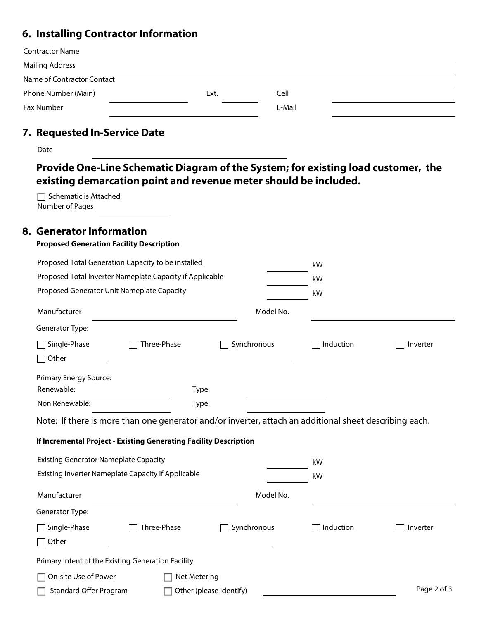# **6. Installing Contractor Information**

| <b>Contractor Name</b>     |      |        |  |
|----------------------------|------|--------|--|
| <b>Mailing Address</b>     |      |        |  |
| Name of Contractor Contact |      |        |  |
| Phone Number (Main)        | Ext. | Cell   |  |
| Fax Number                 |      | E-Mail |  |
| . <b>.</b>                 |      |        |  |

#### **7. Requested In-Service Date**

| m<br>٧<br>. .<br>. .<br><b>STATE OF BUILDING</b><br>$\sim$<br>×<br>۰. |
|-----------------------------------------------------------------------|
|-----------------------------------------------------------------------|

**Provide One-Line Schematic Diagram of the System; for existing load customer, the existing demarcation point and revenue meter should be included.**

 $\Box$  Schematic is Attached Number of Pages

## **8. Generator Information**

**Proposed Generation Facility Description**

| Proposed Total Generation Capacity to be installed                |              |                                                                                                        | kW        |             |
|-------------------------------------------------------------------|--------------|--------------------------------------------------------------------------------------------------------|-----------|-------------|
| Proposed Total Inverter Nameplate Capacity if Applicable          |              |                                                                                                        | kW        |             |
| Proposed Generator Unit Nameplate Capacity                        |              |                                                                                                        | kW        |             |
| Manufacturer                                                      |              | Model No.                                                                                              |           |             |
| Generator Type:                                                   |              |                                                                                                        |           |             |
| Single-Phase<br>∣Other                                            | Three-Phase  | Synchronous                                                                                            | Induction | Inverter    |
| <b>Primary Energy Source:</b>                                     |              |                                                                                                        |           |             |
| Renewable:                                                        |              | Type:                                                                                                  |           |             |
| Non Renewable:                                                    |              | Type:                                                                                                  |           |             |
|                                                                   |              | Note: If there is more than one generator and/or inverter, attach an additional sheet describing each. |           |             |
| If Incremental Project - Existing Generating Facility Description |              |                                                                                                        |           |             |
| <b>Existing Generator Nameplate Capacity</b>                      |              |                                                                                                        | kW        |             |
| Existing Inverter Nameplate Capacity if Applicable                |              |                                                                                                        | kW        |             |
| Manufacturer                                                      |              | Model No.                                                                                              |           |             |
| Generator Type:                                                   |              |                                                                                                        |           |             |
| Single-Phase                                                      | Three-Phase  | Synchronous                                                                                            | Induction | Inverter    |
| $\sqcap$ Other                                                    |              |                                                                                                        |           |             |
| Primary Intent of the Existing Generation Facility                |              |                                                                                                        |           |             |
| On-site Use of Power                                              | Net Metering |                                                                                                        |           |             |
| Standard Offer Program                                            |              | Other (please identify)                                                                                |           | Page 2 of 3 |